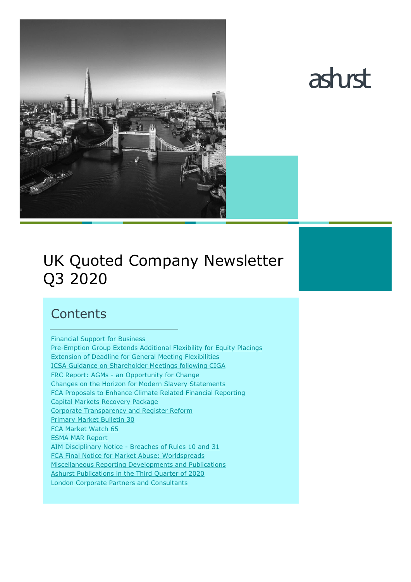



# UK Quoted Company Newsletter Q3 2020

# **Contents**

[Financial](#page-1-0) Support for Business [Pre-Emption Group Extends Additional Flexibility for Equity Placings](#page-1-1) [Extension of Deadline for General Meeting Flexibilities](#page-2-0) [ICSA Guidance on Shareholder Meetings following CIGA](#page-2-1) FRC Report: AGMs - [an Opportunity for Change](#page-2-2) [Changes on the Horizon for Modern Slavery Statements](#page-3-0) [FCA Proposals to Enhance Climate Related Financial Reporting](#page-4-0) [Capital Markets Recovery Package](#page-6-0) [Corporate Transparency and Register Reform](#page-6-1) [Primary Market Bulletin 30](#page-8-0) [FCA Market Watch 65](#page-8-1) [ESMA MAR Report](#page-9-0) AIM Disciplinary Notice - [Breaches of Rules 10 and 31](#page-9-1) [FCA Final Notice for Market Abuse: Worldspreads](#page-9-2) [Miscellaneous Reporting Developments and Publications](#page-10-0) [Ashurst Publications in the Third Quarter of 2020](#page-11-0) [London Corporate Partners and Consultants](#page-12-0)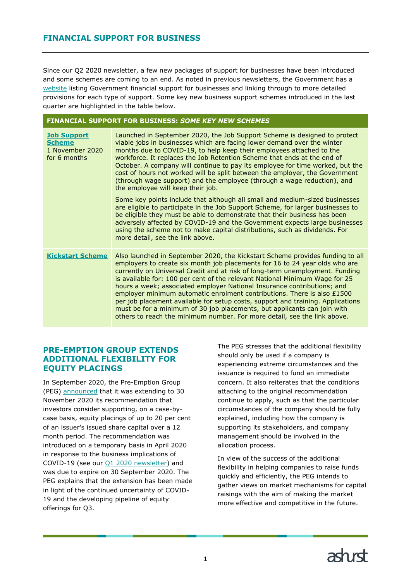# <span id="page-1-0"></span>**FINANCIAL SUPPORT FOR BUSINESS**

Since our Q2 2020 newsletter, a few new packages of support for businesses have been introduced and some schemes are coming to an end. As noted in previous newsletters, the Government has a [website](https://www.gov.uk/government/collections/financial-support-for-businesses-during-coronavirus-covid-19) listing Government financial support for businesses and linking through to more detailed provisions for each type of support. Some key new business support schemes introduced in the last quarter are highlighted in the table below.

| <b>FINANCIAL SUPPORT FOR BUSINESS: SOME KEY NEW SCHEMES</b>            |                                                                                                                                                                                                                                                                                                                                                                                                                                                                                                                                                                                                                                                                                                                                                                                                                                                                                                                                                                                                                                        |  |  |  |
|------------------------------------------------------------------------|----------------------------------------------------------------------------------------------------------------------------------------------------------------------------------------------------------------------------------------------------------------------------------------------------------------------------------------------------------------------------------------------------------------------------------------------------------------------------------------------------------------------------------------------------------------------------------------------------------------------------------------------------------------------------------------------------------------------------------------------------------------------------------------------------------------------------------------------------------------------------------------------------------------------------------------------------------------------------------------------------------------------------------------|--|--|--|
| <b>Job Support</b><br><b>Scheme</b><br>1 November 2020<br>for 6 months | Launched in September 2020, the Job Support Scheme is designed to protect<br>viable jobs in businesses which are facing lower demand over the winter<br>months due to COVID-19, to help keep their employees attached to the<br>workforce. It replaces the Job Retention Scheme that ends at the end of<br>October. A company will continue to pay its employee for time worked, but the<br>cost of hours not worked will be split between the employer, the Government<br>(through wage support) and the employee (through a wage reduction), and<br>the employee will keep their job.<br>Some key points include that although all small and medium-sized businesses<br>are eligible to participate in the Job Support Scheme, for larger businesses to<br>be eligible they must be able to demonstrate that their business has been<br>adversely affected by COVID-19 and the Government expects large businesses<br>using the scheme not to make capital distributions, such as dividends. For<br>more detail, see the link above. |  |  |  |
| <b>Kickstart Scheme</b>                                                | Also launched in September 2020, the Kickstart Scheme provides funding to all<br>employers to create six month job placements for 16 to 24 year olds who are<br>currently on Universal Credit and at risk of long-term unemployment. Funding<br>is available for: 100 per cent of the relevant National Minimum Wage for 25<br>hours a week; associated employer National Insurance contributions; and<br>employer minimum automatic enrolment contributions. There is also $£1500$<br>per job placement available for setup costs, support and training. Applications<br>must be for a minimum of 30 job placements, but applicants can join with<br>others to reach the minimum number. For more detail, see the link above.                                                                                                                                                                                                                                                                                                         |  |  |  |

#### <span id="page-1-1"></span>**PRE-EMPTION GROUP EXTENDS ADDITIONAL FLEXIBILITY FOR EQUITY PLACINGS**

In September 2020, the Pre-Emption Group (PEG) [announced](https://www.frc.org.uk/news/september-2020-(1)/pre-emption-group-extends-additional-flexibility-f) that it was extending to 30 November 2020 its recommendation that investors consider supporting, on a case-bycase basis, equity placings of up to 20 per cent of an issuer's issued share capital over a 12 month period. The recommendation was introduced on a temporary basis in April 2020 in response to the business implications of COVID-19 (see our [Q1 2020 newsletter\)](https://www.ashurst.com/en/news-and-insights/legal-updates/uk-quoted-company-newsletter-q1-2020/) and was due to expire on 30 September 2020. The PEG explains that the extension has been made in light of the continued uncertainty of COVID-19 and the developing pipeline of equity offerings for Q3.

The PEG stresses that the additional flexibility should only be used if a company is experiencing extreme circumstances and the issuance is required to fund an immediate concern. It also reiterates that the conditions attaching to the original recommendation continue to apply, such as that the particular circumstances of the company should be fully explained, including how the company is supporting its stakeholders, and company management should be involved in the allocation process.

In view of the success of the additional flexibility in helping companies to raise funds quickly and efficiently, the PEG intends to gather views on market mechanisms for capital raisings with the aim of making the market more effective and competitive in the future.

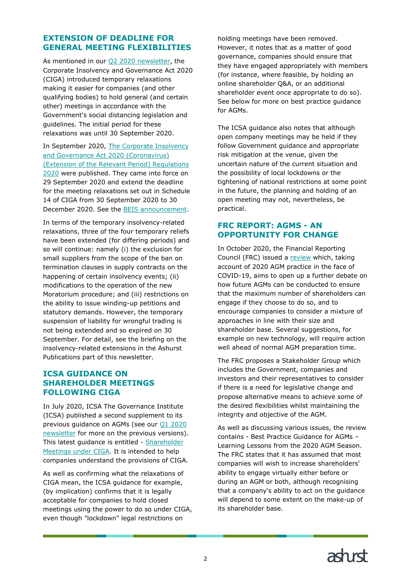# <span id="page-2-0"></span>**EXTENSION OF DEADLINE FOR GENERAL MEETING FLEXIBILITIES**

As mentioned in our [Q2 2020 newsletter,](https://www.ashurst.com/en/news-and-insights/legal-updates/uk-quoted-company-newsletter-q2-2020/) the Corporate Insolvency and Governance Act 2020 (CIGA) introduced temporary relaxations making it easier for companies (and other qualifying bodies) to hold general (and certain other) meetings in accordance with the Government's social distancing legislation and guidelines. The initial period for these relaxations was until 30 September 2020.

In September 2020, The Corporate Insolvency [and Governance Act 2020 \(Coronavirus\)](https://www.legislation.gov.uk/uksi/2020/1031/contents/made)  [\(Extension of the Relevant Period\) Regulations](https://www.legislation.gov.uk/uksi/2020/1031/contents/made)  [2020](https://www.legislation.gov.uk/uksi/2020/1031/contents/made) were published. They came into force on 29 September 2020 and extend the deadline for the meeting relaxations set out in Schedule 14 of CIGA from 30 September 2020 to 30 December 2020. See the [BEIS announcement.](https://www.gov.uk/government/news/government-gives-businesses-much-needed-breathing-space-with-extension-of-insolvency-measures)

In terms of the temporary insolvency-related relaxations, three of the four temporary reliefs have been extended (for differing periods) and so will continue: namely (i) the exclusion for small suppliers from the scope of the ban on termination clauses in supply contracts on the happening of certain insolvency events; (ii) modifications to the operation of the new Moratorium procedure; and (iii) restrictions on the ability to issue winding-up petitions and statutory demands. However, the temporary suspension of liability for wrongful trading is not being extended and so expired on 30 September. For detail, see the briefing on the insolvency-related extensions in the Ashurst Publications part of this newsletter.

# <span id="page-2-1"></span>**ICSA GUIDANCE ON SHAREHOLDER MEETINGS FOLLOWING CIGA**

In July 2020, ICSA The Governance Institute (ICSA) published a second supplement to its previous guidance on AGMs (see our [Q1 2020](https://www.ashurst.com/en/news-and-insights/legal-updates/uk-quoted-company-newsletter-q1-2020/)  [newsletter](https://www.ashurst.com/en/news-and-insights/legal-updates/uk-quoted-company-newsletter-q1-2020/) for more on the previous versions). This latest guidance is entitled - Shareholder [Meetings under CIGA.](https://www.icsa.org.uk/knowledge/resources/share-meet-insolvency-govact2020/smciga20-sign-up) It is intended to help companies understand the provisions of CIGA.

As well as confirming what the relaxations of CIGA mean, the ICSA guidance for example, (by implication) confirms that it is legally acceptable for companies to hold closed meetings using the power to do so under CIGA, even though "lockdown" legal restrictions on

holding meetings have been removed. However, it notes that as a matter of good governance, companies should ensure that they have engaged appropriately with members (for instance, where feasible, by holding an online shareholder Q&A, or an additional shareholder event once appropriate to do so). See below for more on best practice guidance for AGMs.

The ICSA guidance also notes that although open company meetings may be held if they follow Government guidance and appropriate risk mitigation at the venue, given the uncertain nature of the current situation and the possibility of local lockdowns or the tightening of national restrictions at some point in the future, the planning and holding of an open meeting may not, nevertheless, be practical.

# <span id="page-2-2"></span>**FRC REPORT: AGMS - AN OPPORTUNITY FOR CHANGE**

In October 2020, the Financial Reporting Council (FRC) issued a [review](https://www.frc.org.uk/getattachment/48c4ee08-b7be-4b7c-8f19-bcaf3d44e441/Corporate-Governance-AGM.pdf) which, taking account of 2020 AGM practice in the face of COVID-19, aims to open up a further debate on how future AGMs can be conducted to ensure that the maximum number of shareholders can engage if they choose to do so, and to encourage companies to consider a mixture of approaches in line with their size and shareholder base. Several suggestions, for example on new technology, will require action well ahead of normal AGM preparation time.

The FRC proposes a Stakeholder Group which includes the Government, companies and investors and their representatives to consider if there is a need for legislative change and propose alternative means to achieve some of the desired flexibilities whilst maintaining the integrity and objective of the AGM.

As well as discussing various issues, the review contains - Best Practice Guidance for AGMs – Learning Lessons from the 2020 AGM Season. The FRC states that it has assumed that most companies will wish to increase shareholders' ability to engage virtually either before or during an AGM or both, although recognising that a company's ability to act on the guidance will depend to some extent on the make-up of its shareholder base.

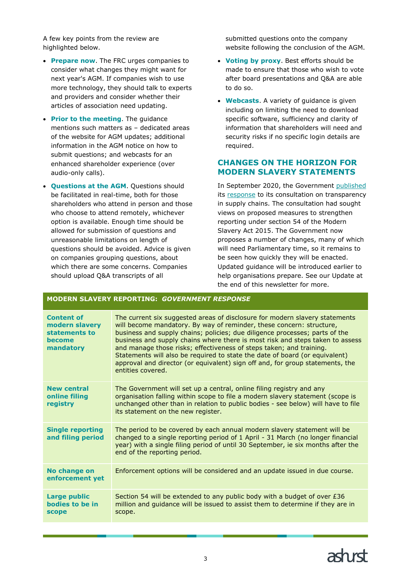A few key points from the review are highlighted below.

- **Prepare now**. The FRC urges companies to consider what changes they might want for next year's AGM. If companies wish to use more technology, they should talk to experts and providers and consider whether their articles of association need updating.
- **Prior to the meeting**. The guidance mentions such matters as – dedicated areas of the website for AGM updates; additional information in the AGM notice on how to submit questions; and webcasts for an enhanced shareholder experience (over audio-only calls).
- **Questions at the AGM**. Questions should be facilitated in real-time, both for those shareholders who attend in person and those who choose to attend remotely, whichever option is available. Enough time should be allowed for submission of questions and unreasonable limitations on length of questions should be avoided. Advice is given on companies grouping questions, about which there are some concerns. Companies should upload Q&A transcripts of all

submitted questions onto the company website following the conclusion of the AGM.

- **Voting by proxy**. Best efforts should be made to ensure that those who wish to vote after board presentations and Q&A are able to do so.
- **Webcasts**. A variety of guidance is given including on limiting the need to download specific software, sufficiency and clarity of information that shareholders will need and security risks if no specific login details are required.

# <span id="page-3-0"></span>**CHANGES ON THE HORIZON FOR MODERN SLAVERY STATEMENTS**

In September 2020, the Government [published](https://www.gov.uk/government/news/new-tough-measures-to-tackle-modern-slavery-in-supply-chains) its [response](https://www.gov.uk/government/consultations/transparency-in-supply-chains) to its consultation on transparency in supply chains. The consultation had sought views on proposed measures to strengthen reporting under section 54 of the Modern Slavery Act 2015. The Government now proposes a number of changes, many of which will need Parliamentary time, so it remains to be seen how quickly they will be enacted. Updated guidance will be introduced earlier to help organisations prepare. See our Update at the end of this newsletter for more.

#### **MODERN SLAVERY REPORTING:** *GOVERNMENT RESPONSE*

| <b>Content of</b><br>modern slavery<br>statements to<br>become<br>mandatory | The current six suggested areas of disclosure for modern slavery statements<br>will become mandatory. By way of reminder, these concern: structure,<br>business and supply chains; policies; due diligence processes; parts of the<br>business and supply chains where there is most risk and steps taken to assess<br>and manage those risks; effectiveness of steps taken; and training.<br>Statements will also be required to state the date of board (or equivalent)<br>approval and director (or equivalent) sign off and, for group statements, the<br>entities covered. |  |  |  |
|-----------------------------------------------------------------------------|---------------------------------------------------------------------------------------------------------------------------------------------------------------------------------------------------------------------------------------------------------------------------------------------------------------------------------------------------------------------------------------------------------------------------------------------------------------------------------------------------------------------------------------------------------------------------------|--|--|--|
| <b>New central</b><br>online filing<br>registry                             | The Government will set up a central, online filing registry and any<br>organisation falling within scope to file a modern slavery statement (scope is<br>unchanged other than in relation to public bodies - see below) will have to file<br>its statement on the new register.                                                                                                                                                                                                                                                                                                |  |  |  |
| <b>Single reporting</b><br>and filing period                                | The period to be covered by each annual modern slavery statement will be<br>changed to a single reporting period of 1 April - 31 March (no longer financial<br>year) with a single filing period of until 30 September, ie six months after the<br>end of the reporting period.                                                                                                                                                                                                                                                                                                 |  |  |  |
| No change on<br>enforcement yet                                             | Enforcement options will be considered and an update issued in due course.                                                                                                                                                                                                                                                                                                                                                                                                                                                                                                      |  |  |  |
| <b>Large public</b><br>bodies to be in<br><b>scope</b>                      | Section 54 will be extended to any public body with a budget of over £36<br>million and guidance will be issued to assist them to determine if they are in<br>scope.                                                                                                                                                                                                                                                                                                                                                                                                            |  |  |  |
|                                                                             |                                                                                                                                                                                                                                                                                                                                                                                                                                                                                                                                                                                 |  |  |  |

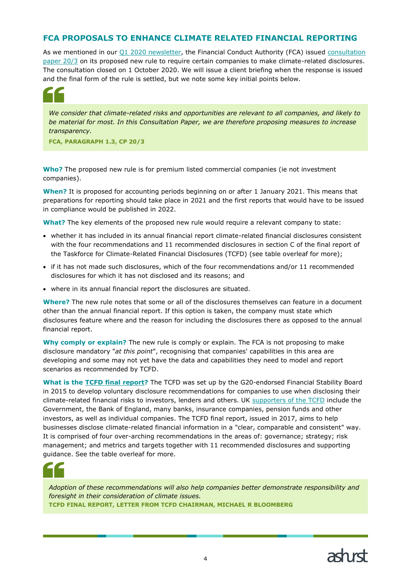# <span id="page-4-0"></span>**FCA PROPOSALS TO ENHANCE CLIMATE RELATED FINANCIAL REPORTING**

As we mentioned in our Q1 [2020 newsletter,](https://www.ashurst.com/en/news-and-insights/legal-updates/uk-quoted-company-newsletter-q1-2020/) the Financial Conduct Authority (FCA) issued consultation [paper 20/3](https://www.fca.org.uk/publications/consultation-papers/cp20-3-proposals-enhance-climate-related-disclosures-listed-issuers-and-clarification-existing) on its proposed new rule to require certain companies to make climate-related disclosures. The consultation closed on 1 October 2020. We will issue a client briefing when the response is issued and the final form of the rule is settled, but we note some key initial points below.



*We consider that climate-related risks and opportunities are relevant to all companies, and likely to be material for most. In this Consultation Paper, we are therefore proposing measures to increase transparency.*

**FCA, PARAGRAPH 1.3, CP 20/3**

**Who?** The proposed new rule is for premium listed commercial companies (ie not investment companies).

**When?** It is proposed for accounting periods beginning on or after 1 January 2021. This means that preparations for reporting should take place in 2021 and the first reports that would have to be issued in compliance would be published in 2022.

**What?** The key elements of the proposed new rule would require a relevant company to state:

- whether it has included in its annual financial report climate-related financial disclosures consistent with the four recommendations and 11 recommended disclosures in section C of the final report of the Taskforce for Climate-Related Financial Disclosures (TCFD) (see table overleaf for more);
- if it has not made such disclosures, which of the four recommendations and/or 11 recommended disclosures for which it has not disclosed and its reasons; and
- where in its annual financial report the disclosures are situated.

**Where?** The new rule notes that some or all of the disclosures themselves can feature in a document other than the annual financial report. If this option is taken, the company must state which disclosures feature where and the reason for including the disclosures there as opposed to the annual financial report.

**Why comply or explain?** The new rule is comply or explain. The FCA is not proposing to make disclosure mandatory "*at this point*", recognising that companies' capabilities in this area are developing and some may not yet have the data and capabilities they need to model and report scenarios as recommended by TCFD.

**What is the [TCFD final report?](https://www.fsb-tcfd.org/publications/final-recommendations-report/)** The TCFD was set up by the G20-endorsed Financial Stability Board in 2015 to develop voluntary disclosure recommendations for companies to use when disclosing their climate-related financial risks to investors, lenders and others. UK [supporters of the TCFD](https://www.fsb-tcfd.org/tcfd-supporters/) include the Government, the Bank of England, many banks, insurance companies, pension funds and other investors, as well as individual companies. The TCFD final report, issued in 2017, aims to help businesses disclose climate-related financial information in a "clear, comparable and consistent" way. It is comprised of four over-arching recommendations in the areas of: governance; strategy; risk management; and metrics and targets together with 11 recommended disclosures and supporting guidance. See the table overleaf for more.



*Adoption of these recommendations will also help companies better demonstrate responsibility and foresight in their consideration of climate issues.* **TCFD FINAL REPORT, LETTER FROM TCFD CHAIRMAN, MICHAEL R BLOOMBERG**

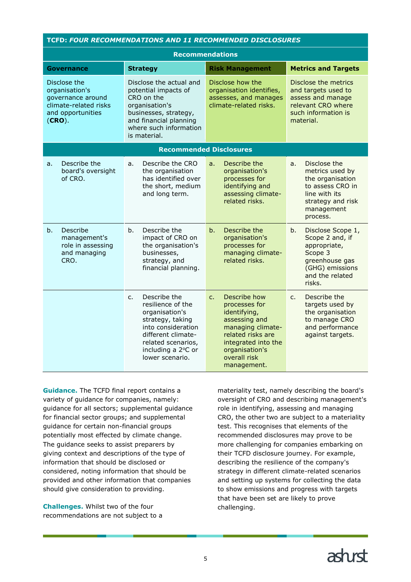| <b>TCFD: FOUR RECOMMENDATIONS AND 11 RECOMMENDED DISCLOSURES</b>                                               |                                                                                                                                                                                                     |                                                                                                                                                                                        |                                                                                                                                               |  |  |  |
|----------------------------------------------------------------------------------------------------------------|-----------------------------------------------------------------------------------------------------------------------------------------------------------------------------------------------------|----------------------------------------------------------------------------------------------------------------------------------------------------------------------------------------|-----------------------------------------------------------------------------------------------------------------------------------------------|--|--|--|
| <b>Recommendations</b>                                                                                         |                                                                                                                                                                                                     |                                                                                                                                                                                        |                                                                                                                                               |  |  |  |
| Governance                                                                                                     | <b>Metrics and Targets</b><br><b>Strategy</b><br><b>Risk Management</b>                                                                                                                             |                                                                                                                                                                                        |                                                                                                                                               |  |  |  |
| Disclose the<br>organisation's<br>governance around<br>climate-related risks<br>and opportunities<br>$(CRO)$ . | Disclose the actual and<br>potential impacts of<br>CRO on the<br>organisation's<br>businesses, strategy,<br>and financial planning<br>where such information<br>is material.                        | Disclose how the<br>organisation identifies,<br>assesses, and manages<br>climate-related risks.                                                                                        | Disclose the metrics<br>and targets used to<br>assess and manage<br>relevant CRO where<br>such information is<br>material.                    |  |  |  |
|                                                                                                                | <b>Recommended Disclosures</b>                                                                                                                                                                      |                                                                                                                                                                                        |                                                                                                                                               |  |  |  |
| Describe the<br>a <sub>r</sub><br>board's oversight<br>of CRO.                                                 | Describe the CRO<br>a.<br>the organisation<br>has identified over<br>the short, medium<br>and long term.                                                                                            | Describe the<br>a <sub>r</sub><br>organisation's<br>processes for<br>identifying and<br>assessing climate-<br>related risks.                                                           | Disclose the<br>a.<br>metrics used by<br>the organisation<br>to assess CRO in<br>line with its<br>strategy and risk<br>management<br>process. |  |  |  |
| Describe<br>b <sub>1</sub><br>management's<br>role in assessing<br>and managing<br>CRO.                        | b.<br>Describe the<br>impact of CRO on<br>the organisation's<br>businesses,<br>strategy, and<br>financial planning.                                                                                 | Describe the<br>b.<br>organisation's<br>processes for<br>managing climate-<br>related risks.                                                                                           | b.<br>Disclose Scope 1,<br>Scope 2 and, if<br>appropriate,<br>Scope 3<br>greenhouse gas<br>(GHG) emissions<br>and the related<br>risks.       |  |  |  |
|                                                                                                                | Describe the<br>$C_{\bullet}$<br>resilience of the<br>organisation's<br>strategy, taking<br>into consideration<br>different climate-<br>related scenarios,<br>including a 2°C or<br>lower scenario. | Describe how<br>c.<br>processes for<br>identifying,<br>assessing and<br>managing climate-<br>related risks are<br>integrated into the<br>organisation's<br>overall risk<br>management. | Describe the<br>C <sub>1</sub><br>targets used by<br>the organisation<br>to manage CRO<br>and performance<br>against targets.                 |  |  |  |

**Guidance.** The TCFD final report contains a variety of guidance for companies, namely: guidance for all sectors; supplemental guidance for financial sector groups; and supplemental guidance for certain non-financial groups potentially most effected by climate change. The guidance seeks to assist preparers by giving context and descriptions of the type of information that should be disclosed or considered, noting information that should be provided and other information that companies should give consideration to providing.

**Challenges.** Whilst two of the four recommendations are not subject to a

materiality test, namely describing the board's oversight of CRO and describing management's role in identifying, assessing and managing CRO, the other two are subject to a materiality test. This recognises that elements of the recommended disclosures may prove to be more challenging for companies embarking on their TCFD disclosure journey. For example, describing the resilience of the company's strategy in different climate-related scenarios and setting up systems for collecting the data to show emissions and progress with targets that have been set are likely to prove challenging.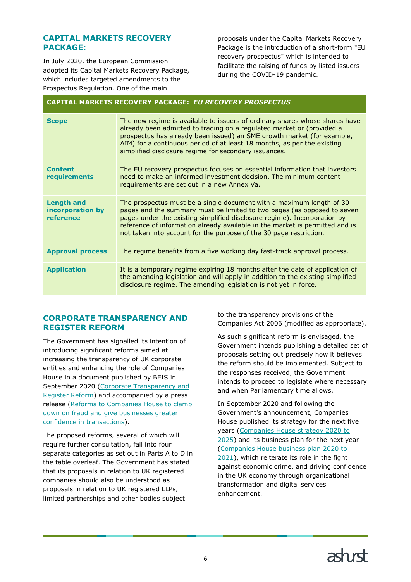# <span id="page-6-0"></span>**CAPITAL MARKETS RECOVERY PACKAGE:**

In July 2020, the European Commission adopted its Capital Markets Recovery Package, which includes targeted amendments to the Prospectus Regulation. One of the main

proposals under the Capital Markets Recovery Package is the introduction of a short-form "EU recovery prospectus" which is intended to facilitate the raising of funds by listed issuers during the COVID-19 pandemic.

#### **CAPITAL MARKETS RECOVERY PACKAGE:** *EU RECOVERY PROSPECTUS*

| <b>Scope</b>                                       | The new regime is available to issuers of ordinary shares whose shares have<br>already been admitted to trading on a regulated market or (provided a<br>prospectus has already been issued) an SME growth market (for example,<br>AIM) for a continuous period of at least 18 months, as per the existing<br>simplified disclosure regime for secondary issuances.                |
|----------------------------------------------------|-----------------------------------------------------------------------------------------------------------------------------------------------------------------------------------------------------------------------------------------------------------------------------------------------------------------------------------------------------------------------------------|
| <b>Content</b><br>requirements                     | The EU recovery prospectus focuses on essential information that investors<br>need to make an informed investment decision. The minimum content<br>requirements are set out in a new Annex Va.                                                                                                                                                                                    |
| <b>Length and</b><br>incorporation by<br>reference | The prospectus must be a single document with a maximum length of 30<br>pages and the summary must be limited to two pages (as opposed to seven<br>pages under the existing simplified disclosure regime). Incorporation by<br>reference of information already available in the market is permitted and is<br>not taken into account for the purpose of the 30 page restriction. |
| <b>Approval process</b>                            | The regime benefits from a five working day fast-track approval process.                                                                                                                                                                                                                                                                                                          |
| <b>Application</b>                                 | It is a temporary regime expiring 18 months after the date of application of<br>the amending legislation and will apply in addition to the existing simplified<br>disclosure regime. The amending legislation is not yet in force.                                                                                                                                                |

### <span id="page-6-1"></span>**CORPORATE TRANSPARENCY AND REGISTER REFORM**

The Government has signalled its intention of introducing significant reforms aimed at increasing the transparency of UK corporate entities and enhancing the role of Companies House in a document published by BEIS in September 2020 (Corporate Transparency and [Register Reform\)](https://assets.publishing.service.gov.uk/government/uploads/system/uploads/attachment_data/file/919356/corporate-transparency-register-reform-consultation-government-response.pdf) and accompanied by a press release [\(Reforms to Companies](https://www.gov.uk/government/news/reforms-to-companies-house-to-clamp-down-on-fraud-and-give-businesses-greater-confidence-in-transactions) House to clamp [down on fraud and give businesses greater](https://www.gov.uk/government/news/reforms-to-companies-house-to-clamp-down-on-fraud-and-give-businesses-greater-confidence-in-transactions)  [confidence in transactions\)](https://www.gov.uk/government/news/reforms-to-companies-house-to-clamp-down-on-fraud-and-give-businesses-greater-confidence-in-transactions).

The proposed reforms, several of which will require further consultation, fall into four separate categories as set out in Parts A to D in the table overleaf. The Government has stated that its proposals in relation to UK registered companies should also be understood as proposals in relation to UK registered LLPs, limited partnerships and other bodies subject

to the transparency provisions of the Companies Act 2006 (modified as appropriate).

As such significant reform is envisaged, the Government intends publishing a detailed set of proposals setting out precisely how it believes the reform should be implemented. Subject to the responses received, the Government intends to proceed to legislate where necessary and when Parliamentary time allows.

In September 2020 and following the Government's announcement, Companies House published its strategy for the next five years [\(Companies House strategy 2020 to](https://www.gov.uk/government/publications/companies-house-strategy-2020-to-2025)  [2025\)](https://www.gov.uk/government/publications/companies-house-strategy-2020-to-2025) and its business plan for the next year [\(Companies House business plan 2020 to](https://www.gov.uk/government/publications/companies-house-business-plan-2020-to-2021)  [2021\)](https://www.gov.uk/government/publications/companies-house-business-plan-2020-to-2021), which reiterate its role in the fight against economic crime, and driving confidence in the UK economy through organisational transformation and digital services enhancement.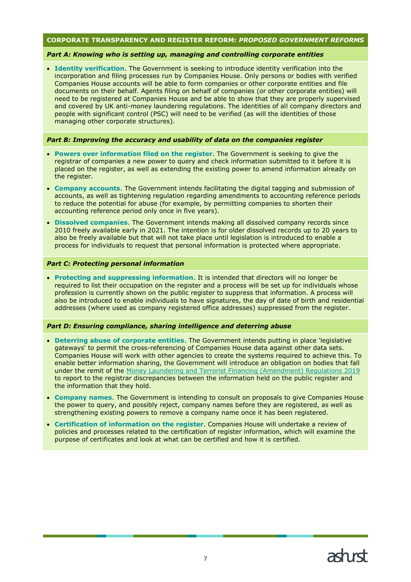#### **CORPORATE TRANSPARENCY AND REGISTER REFORM:** *PROPOSED GOVERNMENT REFORMS*

#### *Part A: Knowing who is setting up, managing and controlling corporate entities*

• **Identity verification**. The Government is seeking to introduce identity verification into the incorporation and filing processes run by Companies House. Only persons or bodies with verified Companies House accounts will be able to form companies or other corporate entities and file documents on their behalf. Agents filing on behalf of companies (or other corporate entities) will need to be registered at Companies House and be able to show that they are properly supervised and covered by UK anti-money laundering regulations. The identities of all company directors and people with significant control (PSC) will need to be verified (as will the identities of those managing other corporate structures).

#### *Part B: Improving the accuracy and usability of data on the companies register*

- **Powers over information filed on the register**. The Government is seeking to give the registrar of companies a new power to query and check information submitted to it before it is placed on the register, as well as extending the existing power to amend information already on the register.
- **Company accounts**. The Government intends facilitating the digital tagging and submission of accounts, as well as tightening regulation regarding amendments to accounting reference periods to reduce the potential for abuse (for example, by permitting companies to shorten their accounting reference period only once in five years).
- **Dissolved companies**. The Government intends making all dissolved company records since 2010 freely available early in 2021. The intention is for older dissolved records up to 20 years to also be freely available but that will not take place until legislation is introduced to enable a process for individuals to request that personal information is protected where appropriate.

#### *Part C: Protecting personal information*

• **Protecting and suppressing information**. It is intended that directors will no longer be required to list their occupation on the register and a process will be set up for individuals whose profession is currently shown on the public register to suppress that information. A process will also be introduced to enable individuals to have signatures, the day of date of birth and residential addresses (where used as company registered office addresses) suppressed from the register.

#### *Part D: Ensuring compliance, sharing intelligence and deterring abuse*

- **Deterring abuse of corporate entities**. The Government intends putting in place 'legislative gateways' to permit the cross-referencing of Companies House data against other data sets. Companies House will work with other agencies to create the systems required to achieve this. To enable better information sharing, the Government will introduce an obligation on bodies that fall under the remit of the [Money Laundering and Terrorist Financing \(Amendment\) Regulations 2019](https://www.legislation.gov.uk/uksi/2019/1511/contents/made) to report to the registrar discrepancies between the information held on the public register and the information that they hold.
- **Company names**. The Government is intending to consult on proposals to give Companies House the power to query, and possibly reject, company names before they are registered, as well as strengthening existing powers to remove a company name once it has been registered.
- **Certification of information on the register**. Companies House will undertake a review of policies and processes related to the certification of register information, which will examine the purpose of certificates and look at what can be certified and how it is certified.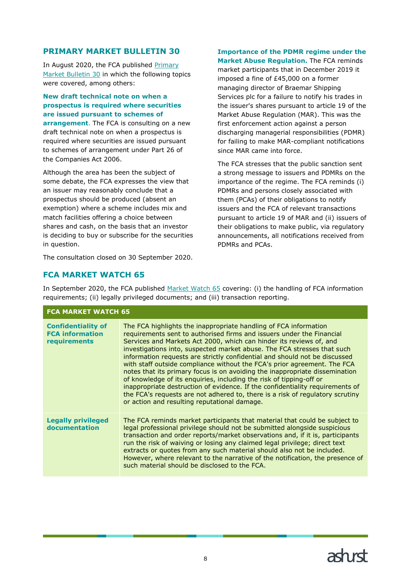# <span id="page-8-0"></span>**PRIMARY MARKET BULLETIN 30**

In August 2020, the FCA published [Primary](https://www.fca.org.uk/publications/newsletters/primary-market-bulletin-issue-no-30)  [Market Bulletin 30](https://www.fca.org.uk/publications/newsletters/primary-market-bulletin-issue-no-30) in which the following topics were covered, among others:

#### **New draft technical note on when a prospectus is required where securities are issued pursuant to schemes of**

**arrangement**. The FCA is consulting on a new draft technical note on when a prospectus is required where securities are issued pursuant to schemes of arrangement under Part 26 of the Companies Act 2006.

Although the area has been the subject of some debate, the FCA expresses the view that an issuer may reasonably conclude that a prospectus should be produced (absent an exemption) where a scheme includes mix and match facilities offering a choice between shares and cash, on the basis that an investor is deciding to buy or subscribe for the securities in question.

The consultation closed on 30 September 2020.

# **Importance of the PDMR regime under the**

**Market Abuse Regulation.** The FCA reminds market participants that in December 2019 it imposed a fine of £45,000 on a former managing director of Braemar Shipping Services plc for a failure to notify his trades in the issuer's shares pursuant to article 19 of the Market Abuse Regulation (MAR). This was the first enforcement action against a person discharging managerial responsibilities (PDMR) for failing to make MAR-compliant notifications since MAR came into force.

The FCA stresses that the public sanction sent a strong message to issuers and PDMRs on the importance of the regime. The FCA reminds (i) PDMRs and persons closely associated with them (PCAs) of their obligations to notify issuers and the FCA of relevant transactions pursuant to article 19 of MAR and (ii) issuers of their obligations to make public, via regulatory announcements, all notifications received from PDMRs and PCAs.

# <span id="page-8-1"></span>**FCA MARKET WATCH 65**

**FCA MARKET WATCH 65** 

In September 2020, the FCA published [Market Watch 65](https://www.fca.org.uk/publication/newsletters/market-watch-65.pdf) covering: (i) the handling of FCA information requirements; (ii) legally privileged documents; and (iii) transaction reporting.

| FLA MAKKEI WAILH 05                                                 |                                                                                                                                                                                                                                                                                                                                                                                                                                                                                                                                                                                                                                                                                                                                                                                                                               |  |
|---------------------------------------------------------------------|-------------------------------------------------------------------------------------------------------------------------------------------------------------------------------------------------------------------------------------------------------------------------------------------------------------------------------------------------------------------------------------------------------------------------------------------------------------------------------------------------------------------------------------------------------------------------------------------------------------------------------------------------------------------------------------------------------------------------------------------------------------------------------------------------------------------------------|--|
| <b>Confidentiality of</b><br><b>FCA information</b><br>requirements | The FCA highlights the inappropriate handling of FCA information<br>requirements sent to authorised firms and issuers under the Financial<br>Services and Markets Act 2000, which can hinder its reviews of, and<br>investigations into, suspected market abuse. The FCA stresses that such<br>information requests are strictly confidential and should not be discussed<br>with staff outside compliance without the FCA's prior agreement. The FCA<br>notes that its primary focus is on avoiding the inappropriate dissemination<br>of knowledge of its enquiries, including the risk of tipping-off or<br>inappropriate destruction of evidence. If the confidentiality requirements of<br>the FCA's requests are not adhered to, there is a risk of regulatory scrutiny<br>or action and resulting reputational damage. |  |
| <b>Legally privileged</b><br>documentation                          | The FCA reminds market participants that material that could be subject to<br>legal professional privilege should not be submitted alongside suspicious<br>transaction and order reports/market observations and, if it is, participants<br>run the risk of waiving or losing any claimed legal privilege; direct text<br>extracts or quotes from any such material should also not be included.<br>However, where relevant to the narrative of the notification, the presence of<br>such material should be disclosed to the FCA.                                                                                                                                                                                                                                                                                            |  |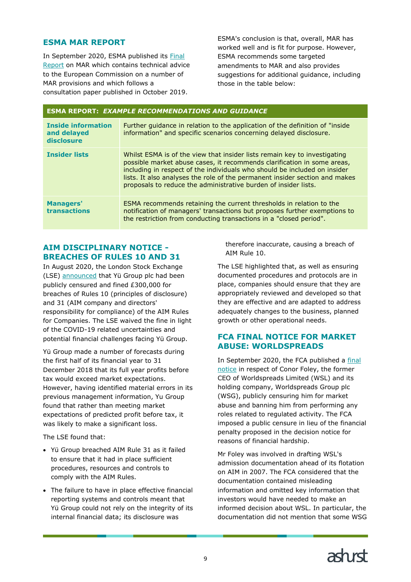# <span id="page-9-0"></span>**ESMA MAR REPORT**

In September 2020, ESMA published its [Final](https://www.esma.europa.eu/sites/default/files/library/esma70-156-2391_final_report_-_mar_review.pdf)  [Report](https://www.esma.europa.eu/sites/default/files/library/esma70-156-2391_final_report_-_mar_review.pdf) on MAR which contains technical advice to the European Commission on a number of MAR provisions and which follows a consultation paper published in October 2019.

ESMA's conclusion is that, overall, MAR has worked well and is fit for purpose. However, ESMA recommends some targeted amendments to MAR and also provides suggestions for additional guidance, including those in the table below:

#### **ESMA REPORT:** *EXAMPLE RECOMMENDATIONS AND GUIDANCE*

| <b>Inside information</b><br>and delayed<br>disclosure | Further guidance in relation to the application of the definition of "inside"<br>information" and specific scenarios concerning delayed disclosure.                                                                                                                                                                                                                                 |  |  |  |  |
|--------------------------------------------------------|-------------------------------------------------------------------------------------------------------------------------------------------------------------------------------------------------------------------------------------------------------------------------------------------------------------------------------------------------------------------------------------|--|--|--|--|
| <b>Insider lists</b>                                   | Whilst ESMA is of the view that insider lists remain key to investigating<br>possible market abuse cases, it recommends clarification in some areas,<br>including in respect of the individuals who should be included on insider<br>lists. It also analyses the role of the permanent insider section and makes<br>proposals to reduce the administrative burden of insider lists. |  |  |  |  |
| <b>Managers'</b><br>transactions                       | <b>ESMA</b> recommends retaining the current thresholds in relation to the<br>notification of managers' transactions but proposes further exemptions to<br>the restriction from conducting transactions in a "closed period".                                                                                                                                                       |  |  |  |  |

# <span id="page-9-1"></span>**AIM DISCIPLINARY NOTICE - BREACHES OF RULES 10 AND 31**

In August 2020, the London Stock Exchange (LSE) [announced](https://docs.londonstockexchange.com/sites/default/files/documents/ad23.pdf) that Yü Group plc had been publicly censured and fined £300,000 for breaches of Rules 10 (principles of disclosure) and 31 (AIM company and directors' responsibility for compliance) of the AIM Rules for Companies. The LSE waived the fine in light of the COVID-19 related uncertainties and potential financial challenges facing Yü Group.

Yü Group made a number of forecasts during the first half of its financial year to 31 December 2018 that its full year profits before tax would exceed market expectations. However, having identified material errors in its previous management information, Yu Group found that rather than meeting market expectations of predicted profit before tax, it was likely to make a significant loss.

The LSE found that:

- Yü Group breached AIM Rule 31 as it failed to ensure that it had in place sufficient procedures, resources and controls to comply with the AIM Rules.
- The failure to have in place effective financial reporting systems and controls meant that Yü Group could not rely on the integrity of its internal financial data; its disclosure was

therefore inaccurate, causing a breach of AIM Rule 10.

The LSE highlighted that, as well as ensuring documented procedures and protocols are in place, companies should ensure that they are appropriately reviewed and developed so that they are effective and are adapted to address adequately changes to the business, planned growth or other operational needs.

# <span id="page-9-2"></span>**FCA FINAL NOTICE FOR MARKET ABUSE: WORLDSPREADS**

In September 2020, the FCA published a [final](https://www.fca.org.uk/publication/final-notices/fn-conor-martin-foley-2020.pdf)  [notice](https://www.fca.org.uk/publication/final-notices/fn-conor-martin-foley-2020.pdf) in respect of Conor Foley, the former CEO of Worldspreads Limited (WSL) and its holding company, Worldspreads Group plc (WSG), publicly censuring him for market abuse and banning him from performing any roles related to regulated activity. The FCA imposed a public censure in lieu of the financial penalty proposed in the decision notice for reasons of financial hardship.

Mr Foley was involved in drafting WSL's admission documentation ahead of its flotation on AIM in 2007. The FCA considered that the documentation contained misleading information and omitted key information that investors would have needed to make an informed decision about WSL. In particular, the documentation did not mention that some WSG

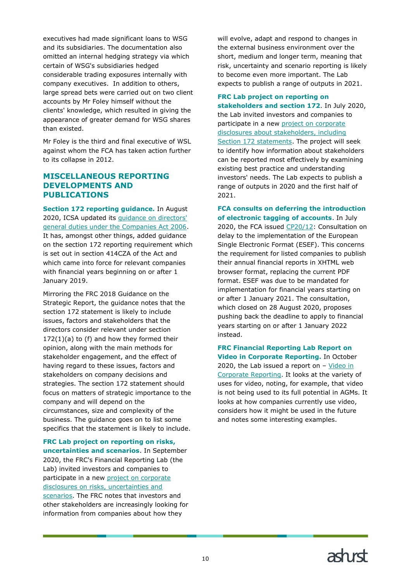executives had made significant loans to WSG and its subsidiaries. The documentation also omitted an internal hedging strategy via which certain of WSG's subsidiaries hedged considerable trading exposures internally with company executives. In addition to others, large spread bets were carried out on two client accounts by Mr Foley himself without the clients' knowledge, which resulted in giving the appearance of greater demand for WSG shares than existed.

Mr Foley is the third and final executive of WSL against whom the FCA has taken action further to its collapse in 2012.

# <span id="page-10-0"></span>**MISCELLANEOUS REPORTING DEVELOPMENTS AND PUBLICATIONS**

**Section 172 reporting guidance.** In August 2020, ICSA updated its [guidance on directors'](https://www.icsa.org.uk/about-us/press-office/news-releases/updated-guidance-about-directors-duties-by-the-chartered-governance-institute) [general duties under the Companies Act 2006.](https://www.icsa.org.uk/about-us/press-office/news-releases/updated-guidance-about-directors-duties-by-the-chartered-governance-institute) It has, amongst other things, added guidance on the section 172 reporting requirement which is set out in section 414CZA of the Act and which came into force for relevant companies with financial years beginning on or after 1 January 2019.

Mirroring the FRC 2018 Guidance on the Strategic Report, the guidance notes that the section 172 statement is likely to include issues, factors and stakeholders that the directors consider relevant under section  $172(1)(a)$  to (f) and how they formed their opinion, along with the main methods for stakeholder engagement, and the effect of having regard to these issues, factors and stakeholders on company decisions and strategies. The section 172 statement should focus on matters of strategic importance to the company and will depend on the circumstances, size and complexity of the business. The guidance goes on to list some specifics that the statement is likely to include.

**FRC Lab project on reporting on risks, uncertainties and scenarios**. In September 2020, the FRC's Financial Reporting Lab (the Lab) invited investors and companies to participate in a new [project on corporate](https://www.frc.org.uk/news/september-2020-(1)/call-for-participants-in-new-lab-project-reporting)  [disclosures on risks, uncertainties and](https://www.frc.org.uk/news/september-2020-(1)/call-for-participants-in-new-lab-project-reporting)  [scenarios.](https://www.frc.org.uk/news/september-2020-(1)/call-for-participants-in-new-lab-project-reporting) The FRC notes that investors and other stakeholders are increasingly looking for information from companies about how they

will evolve, adapt and respond to changes in the external business environment over the short, medium and longer term, meaning that risk, uncertainty and scenario reporting is likely to become even more important. The Lab expects to publish a range of outputs in 2021.

# **FRC Lab project on reporting on**

**stakeholders and section 172**. In July 2020, the Lab invited investors and companies to participate in a new project on corporate [disclosures about stakeholders, including](https://www.frc.org.uk/news/july-2020/call-for-participants-reporting-on-section-172-dis)  [Section 172 statements.](https://www.frc.org.uk/news/july-2020/call-for-participants-reporting-on-section-172-dis) The project will seek to identify how information about stakeholders can be reported most effectively by examining existing best practice and understanding investors' needs. The Lab expects to publish a range of outputs in 2020 and the first half of 2021.

**FCA consults on deferring the introduction of electronic tagging of accounts**. In July 2020, the FCA issued [CP20/12:](https://www.fca.org.uk/publications/consultation-papers/cp20-12-consultation-delay-implementation-european-single-electronic-format) Consultation on delay to the implementation of the European Single Electronic Format (ESEF). This concerns the requirement for listed companies to publish their annual financial reports in XHTML web browser format, replacing the current PDF format. ESEF was due to be mandated for implementation for financial years starting on or after 1 January 2021. The consultation, which closed on 28 August 2020, proposes pushing back the deadline to apply to financial years starting on or after 1 January 2022 instead.

**FRC Financial Reporting Lab Report on Video in Corporate Reporting.** In October 2020, the Lab issued a report on  $-$  Video in [Corporate Reporting.](https://www.frc.org.uk/medialibraries/FRC/FRC-Document-Library/Video-in-corporate-reporting-AV2.pdf) It looks at the variety of uses for video, noting, for example, that video is not being used to its full potential in AGMs. It looks at how companies currently use video, considers how it might be used in the future and notes some interesting examples.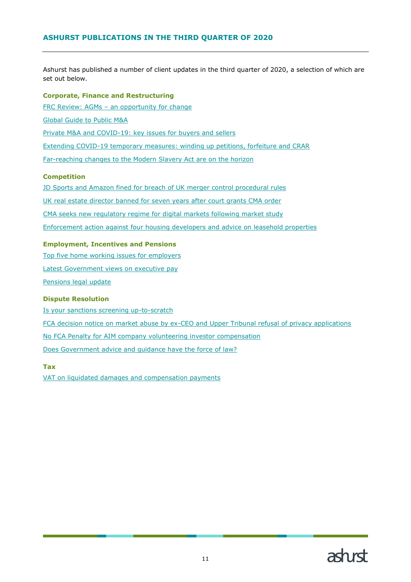<span id="page-11-0"></span>Ashurst has published a number of client updates in the third quarter of 2020, a selection of which are set out below.

#### **Corporate, Finance and Restructuring**

FRC Review: AGMs – [an opportunity for change](https://www.ashurst.com/en/news-and-insights/legal-updates/frc-review---agms---an-opportunity-for-change/)

[Global Guide to Public M&A](https://www.ashurst.com/en/news-and-insights/legal-updates/global-guide-to-public-m-and-a/)

[Private M&A and COVID-19: key issues for](https://www.ashurst.com/en/news-and-insights/insights/private-m-and-a-and-covid-19-key-issues-for-buyers-and-sellers/) buyers and sellers

Extending COVID-19 [temporary measures: winding up petitions, forfeiture and CRAR](https://www.ashurst.com/en/news-and-insights/legal-updates/extending-covid-temporary-measures-winding-up-petitions-forfeiture-and-crar/)

[Far-reaching changes to the Modern Slavery Act are on the horizon](https://www.ashurst.com/en/news-and-insights/legal-updates/far-reaching-changes-to-the-modern-slavery-act-are-on-the-horizon/)

#### **Competition**

[JD Sports and Amazon fined for breach of UK merger control procedural rules](https://www.ashurst.com/en/news-and-insights/legal-updates/competition-law-newsletter-september-2020/cn10---jd-sports-and-amazon-fined-for-breach-of-uk-merger-control-procedural-rules/)

[UK real estate director banned for seven years after court grants CMA order](https://www.ashurst.com/en/news-and-insights/legal-updates/competition-law-newsletter---july-2020/cn10---uk-real-estate-director-banned-for-seven-years-after-court-grants-cma-order/)

[CMA seeks new regulatory regime for digital markets following market study](https://www.ashurst.com/en/news-and-insights/legal-updates/competition-law-newsletter---july-2020/cn8---cma-seeks-new-regulatory-regime-for-digital-markets-following-market-study/)

[Enforcement action against four housing developers and advice on leasehold properties](https://www.ashurst.com/en/news-and-insights/legal-updates/competition-law-newsletter-september-2020/cn12---enforcement-action-against-four-housing-developers-and-advice-on-leasehold-properties/)

#### **Employment, Incentives and Pensions**

[Top five home working issues for employers](https://www.ashurst.com/en/news-and-insights/legal-updates/top-five-home-working-issues-for-employers/)

Latest Government [views on executive pay](https://www.ashurst.com/en/news-and-insights/legal-updates/latest-government-views-on-executive-pay/)

[Pensions legal update](https://www.ashurst.com/en/news-and-insights/legal-updates/pensions-legal-update-832020-44631-pm/)

#### **Dispute Resolution**

[Is your sanctions screening up-to-scratch](https://www.ashurst.com/en/news-and-insights/legal-updates/is-your-sanctions-screening-up-to-scratch/)

[FCA decision notice on market abuse by ex-CEO and Upper Tribunal refusal of privacy applications](https://www.ashurst.com/en/news-and-insights/legal-updates/fcas-decision-notice-on-conor-foley-and-findings-on-confidentiality/)

[No FCA Penalty for AIM company volunteering investor compensation](https://www.ashurst.com/en/news-and-insights/legal-updates/redcentric---no-fca-penalty-for-aim-listed-company-volunteering-investor-compensation/)

Does Government [advice and guidance have the force of law?](https://www.ashurst.com/en/news-and-insights/legal-updates/does-government-advice-and-guidance-have-the-force-of-law/)

#### **Tax**

[VAT on liquidated damages and compensation payments](https://www.ashurst.com/en/news-and-insights/legal-updates/vat-on-liquidated-damages-and-compensation-payments/)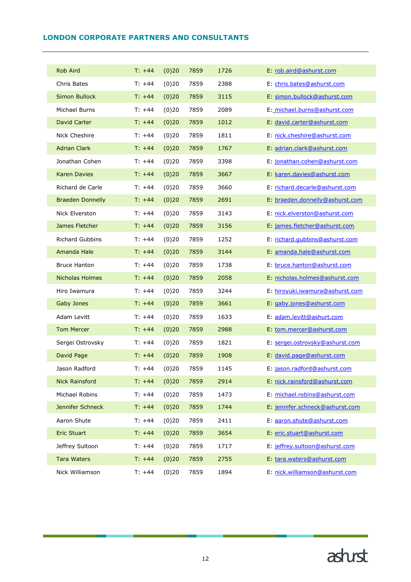# <span id="page-12-0"></span>**LONDON CORPORATE PARTNERS AND CONSULTANTS**

|  | <b>Rob Aird</b>         | $T: +44$ | (0)20 | 7859 | 1726 | E: rob.aird@ashurst.com         |
|--|-------------------------|----------|-------|------|------|---------------------------------|
|  | Chris Bates             | $T: +44$ | (0)20 | 7859 | 2388 | E: chris.bates@ashurst.com      |
|  | <b>Simon Bullock</b>    | $T: +44$ | (0)20 | 7859 | 3115 | E: simon.bullock@ashurst.com    |
|  | <b>Michael Burns</b>    | $T: +44$ | (0)20 | 7859 | 2089 | E: michael.burns@ashurst.com    |
|  | David Carter            | $T: +44$ | (0)20 | 7859 | 1012 | E: david.carter@ashurst.com     |
|  | Nick Cheshire           | $T: +44$ | (0)20 | 7859 | 1811 | E: nick.cheshire@ashurst.com    |
|  | <b>Adrian Clark</b>     | $T: +44$ | (0)20 | 7859 | 1767 | E: adrian.clark@ashurst.com     |
|  | Jonathan Cohen          | $T: +44$ | (0)20 | 7859 | 3398 | E: jonathan.cohen@ashurst.com   |
|  | <b>Karen Davies</b>     | $T: +44$ | (0)20 | 7859 | 3667 | E: karen.davies@ashurst.com     |
|  | Richard de Carle        | $T: +44$ | (0)20 | 7859 | 3660 | E: richard.decarle@ashurst.com  |
|  | <b>Braeden Donnelly</b> | $T: +44$ | (0)20 | 7859 | 2691 | E: braeden.donnelly@ashurst.com |
|  | Nick Elverston          | $T: +44$ | (0)20 | 7859 | 3143 | E: nick.elverston@ashurst.com   |
|  | James Fletcher          | $T: +44$ | (0)20 | 7859 | 3156 | E: james.fletcher@ashurst.com   |
|  | <b>Richard Gubbins</b>  | $T: +44$ | (0)20 | 7859 | 1252 | E: richard.gubbins@ashurst.com  |
|  | Amanda Hale             | $T: +44$ | (0)20 | 7859 | 3144 | E: amanda.hale@ashurst.com      |
|  | <b>Bruce Hanton</b>     | $T: +44$ | (0)20 | 7859 | 1738 | E: bruce.hanton@ashurst.com     |
|  | <b>Nicholas Holmes</b>  | $T: +44$ | (0)20 | 7859 | 2058 | E: nicholas.holmes@ashurst.com  |
|  | Hiro Iwamura            | $T: +44$ | (0)20 | 7859 | 3244 | E: hiroyuki.iwamura@ashurst.com |
|  | Gaby Jones              | $T: +44$ | (0)20 | 7859 | 3661 | E: gaby.jones@ashurst.com       |
|  | Adam Levitt             | $T: +44$ | (0)20 | 7859 | 1633 | E: adam.levitt@ashurt.com       |
|  | <b>Tom Mercer</b>       | $T: +44$ | (0)20 | 7859 | 2988 | E: tom.mercer@ashurst.com       |
|  | Sergei Ostrovsky        | $T: +44$ | (0)20 | 7859 | 1821 | E: sergei.ostrovsky@ashurst.com |
|  | David Page              | $T: +44$ | (0)20 | 7859 | 1908 | E: david.page@ashurst.com       |
|  | Jason Radford           | T: +44   | (0)20 | 7859 | 1145 | E: jason.radford@ashurst.com    |
|  | <b>Nick Rainsford</b>   | $T: +44$ | (0)20 | 7859 | 2914 | E: nick.rainsford@ashurst.com   |
|  | Michael Robins          | $T: +44$ | (0)20 | 7859 | 1473 | E: michael.robins@ashurst.com   |
|  | Jennifer Schneck        | $T: +44$ | (0)20 | 7859 | 1744 | E: jennifer.schneck@ashurst.com |
|  | Aaron Shute             | $T: +44$ | (0)20 | 7859 | 2411 | E: aaron.shute@ashurst.com      |
|  | <b>Eric Stuart</b>      | $T: +44$ | (0)20 | 7859 | 3654 | E: eric.stuart@ashurst.com      |
|  | Jeffrey Sultoon         | $T: +44$ | (0)20 | 7859 | 1717 | E: jeffrey.sultoon@ashurst.com  |
|  | <b>Tara Waters</b>      | $T: +44$ | (0)20 | 7859 | 2755 | E: tara.waters@ashurst.com      |
|  | Nick Williamson         | $T: +44$ | (0)20 | 7859 | 1894 | E: nick.williamson@ashurst.com  |